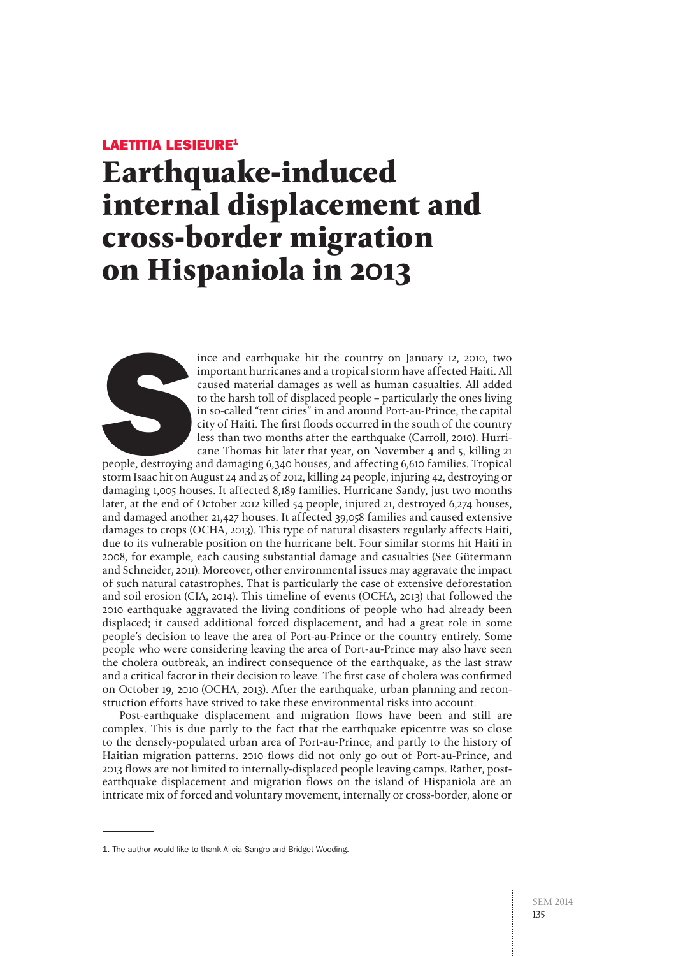## Laetitia LESIEURE1

# **Earthquake-induced internal displacement and cross-border migration on Hispaniola in 2013**



ince and earthquake hit the country on January 12, 2010, two<br>important hurricanes and a tropical storm have affected Haiti. All<br>caused material damages as well as human casualties. All added<br>to the harsh toll of displaced important hurricanes and a tropical storm have affected Haiti. All caused material damages as well as human casualties. All added to the harsh toll of displaced people – particularly the ones living in so-called "tent cities" in and around Port-au-Prince, the capital city of Haiti. The first floods occurred in the south of the country less than two months after the earthquake (Carroll, 2010). Hurricane Thomas hit later that year, on November 4 and 5, killing 21

people, destroying and damaging 6,340 houses, and affecting 6,610 families. Tropical storm Isaac hit on August 24 and 25 of 2012, killing 24 people, injuring 42, destroying or damaging 1,005 houses. It affected 8,189 families. Hurricane Sandy, just two months later, at the end of October 2012 killed 54 people, injured 21, destroyed 6,274 houses, and damaged another 21,427 houses. It affected 39,058 families and caused extensive damages to crops (OCHA, 2013). This type of natural disasters regularly affects Haiti, due to its vulnerable position on the hurricane belt. Four similar storms hit Haiti in 2008, for example, each causing substantial damage and casualties (See Gütermann and Schneider, 2011). Moreover, other environmental issues may aggravate the impact of such natural catastrophes. That is particularly the case of extensive deforestation and soil erosion (CIA, 2014). This timeline of events (OCHA, 2013) that followed the 2010 earthquake aggravated the living conditions of people who had already been displaced; it caused additional forced displacement, and had a great role in some people's decision to leave the area of Port-au-Prince or the country entirely. Some people who were considering leaving the area of Port-au-Prince may also have seen the cholera outbreak, an indirect consequence of the earthquake, as the last straw and a critical factor in their decision to leave. The first case of cholera was confirmed on October 19, 2010 (OCHA, 2013). After the earthquake, urban planning and reconstruction efforts have strived to take these environmental risks into account.

Post-earthquake displacement and migration flows have been and still are complex. This is due partly to the fact that the earthquake epicentre was so close to the densely-populated urban area of Port-au-Prince, and partly to the history of Haitian migration patterns. 2010 flows did not only go out of Port-au-Prince, and 2013 flows are not limited to internally-displaced people leaving camps. Rather, postearthquake displacement and migration flows on the island of Hispaniola are an intricate mix of forced and voluntary movement, internally or cross-border, alone or

<sup>1.</sup> The author would like to thank Alicia Sangro and Bridget Wooding.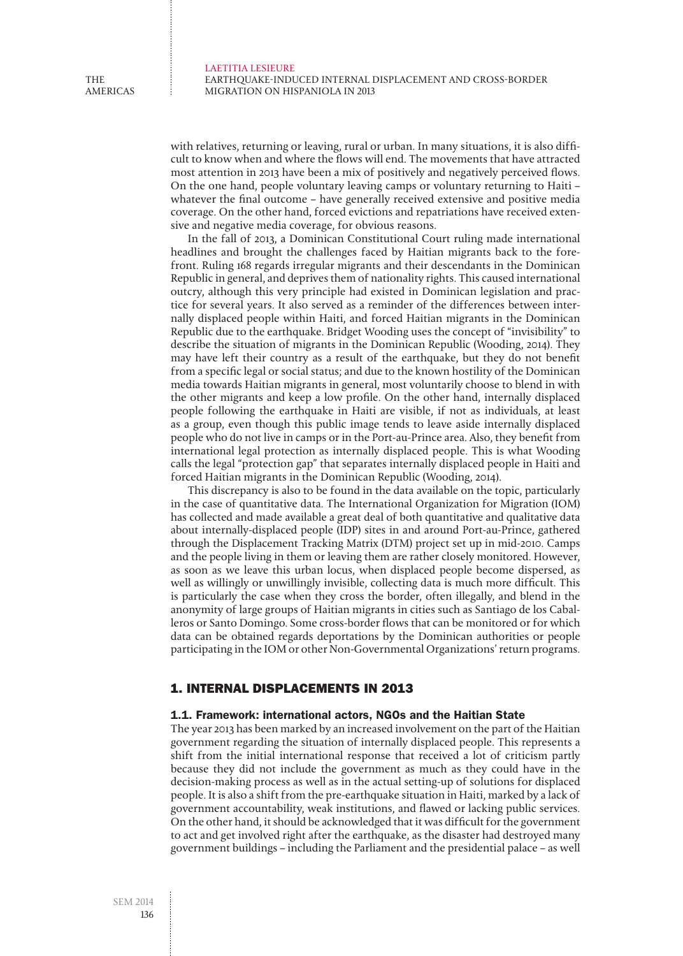THE americas

> with relatives, returning or leaving, rural or urban. In many situations, it is also difficult to know when and where the flows will end. The movements that have attracted most attention in 2013 have been a mix of positively and negatively perceived flows. On the one hand, people voluntary leaving camps or voluntary returning to Haiti – whatever the final outcome – have generally received extensive and positive media coverage. On the other hand, forced evictions and repatriations have received extensive and negative media coverage, for obvious reasons.

> In the fall of 2013, a Dominican Constitutional Court ruling made international headlines and brought the challenges faced by Haitian migrants back to the forefront. Ruling 168 regards irregular migrants and their descendants in the Dominican Republic in general, and deprives them of nationality rights. This caused international outcry, although this very principle had existed in Dominican legislation and practice for several years. It also served as a reminder of the differences between internally displaced people within Haiti, and forced Haitian migrants in the Dominican Republic due to the earthquake. Bridget Wooding uses the concept of "invisibility" to describe the situation of migrants in the Dominican Republic (Wooding, 2014). They may have left their country as a result of the earthquake, but they do not benefit from a specific legal or social status; and due to the known hostility of the Dominican media towards Haitian migrants in general, most voluntarily choose to blend in with the other migrants and keep a low profile. On the other hand, internally displaced people following the earthquake in Haiti are visible, if not as individuals, at least as a group, even though this public image tends to leave aside internally displaced people who do not live in camps or in the Port-au-Prince area. Also, they benefit from international legal protection as internally displaced people. This is what Wooding calls the legal "protection gap" that separates internally displaced people in Haiti and forced Haitian migrants in the Dominican Republic (Wooding, 2014).

> This discrepancy is also to be found in the data available on the topic, particularly in the case of quantitative data. The International Organization for Migration (IOM) has collected and made available a great deal of both quantitative and qualitative data about internally-displaced people (IDP) sites in and around Port-au-Prince, gathered through the Displacement Tracking Matrix (DTM) project set up in mid-2010. Camps and the people living in them or leaving them are rather closely monitored. However, as soon as we leave this urban locus, when displaced people become dispersed, as well as willingly or unwillingly invisible, collecting data is much more difficult. This is particularly the case when they cross the border, often illegally, and blend in the anonymity of large groups of Haitian migrants in cities such as Santiago de los Caballeros or Santo Domingo. Some cross-border flows that can be monitored or for which data can be obtained regards deportations by the Dominican authorities or people participating in the IOM or other Non-Governmental Organizations' return programs.

## 1. Internal displacements in 2013

#### 1.1. Framework: international actors, NGOs and the Haitian State

The year 2013 has been marked by an increased involvement on the part of the Haitian government regarding the situation of internally displaced people. This represents a shift from the initial international response that received a lot of criticism partly because they did not include the government as much as they could have in the decision-making process as well as in the actual setting-up of solutions for displaced people. It is also a shift from the pre-earthquake situation in Haiti, marked by a lack of government accountability, weak institutions, and flawed or lacking public services. On the other hand, it should be acknowledged that it was difficult for the government to act and get involved right after the earthquake, as the disaster had destroyed many government buildings – including the Parliament and the presidential palace – as well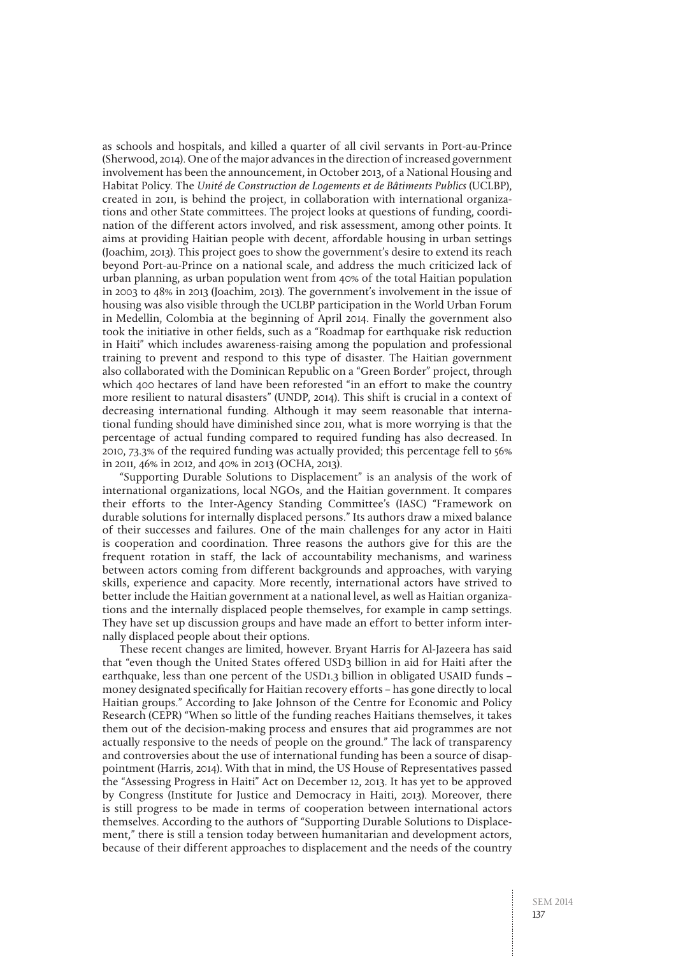as schools and hospitals, and killed a quarter of all civil servants in Port-au-Prince (Sherwood, 2014). One of the major advances in the direction of increased government involvement has been the announcement, in October 2013, of a National Housing and Habitat Policy. The Unité de Construction de Logements et de Bâtiments Publics (UCLBP), created in 2011, is behind the project, in collaboration with international organizations and other State committees. The project looks at questions of funding, coordination of the different actors involved, and risk assessment, among other points. It aims at providing Haitian people with decent, affordable housing in urban settings (Joachim, 2013). This project goes to show the government's desire to extend its reach beyond Port-au-Prince on a national scale, and address the much criticized lack of urban planning, as urban population went from 40% of the total Haitian population in 2003 to 48% in 2013 (Joachim, 2013). The government's involvement in the issue of housing was also visible through the UCLBP participation in the World Urban Forum in Medellin, Colombia at the beginning of April 2014. Finally the government also took the initiative in other fields, such as a "Roadmap for earthquake risk reduction in Haiti" which includes awareness-raising among the population and professional training to prevent and respond to this type of disaster. The Haitian government also collaborated with the Dominican Republic on a "Green Border" project, through which 400 hectares of land have been reforested "in an effort to make the country more resilient to natural disasters" (UNDP, 2014). This shift is crucial in a context of decreasing international funding. Although it may seem reasonable that international funding should have diminished since 2011, what is more worrying is that the percentage of actual funding compared to required funding has also decreased. In 2010, 73.3% of the required funding was actually provided; this percentage fell to 56% in 2011, 46% in 2012, and 40% in 2013 (OCHA, 2013).

"Supporting Durable Solutions to Displacement" is an analysis of the work of international organizations, local NGOs, and the Haitian government. It compares their efforts to the Inter-Agency Standing Committee's (IASC) "Framework on durable solutions for internally displaced persons." Its authors draw a mixed balance of their successes and failures. One of the main challenges for any actor in Haiti is cooperation and coordination. Three reasons the authors give for this are the frequent rotation in staff, the lack of accountability mechanisms, and wariness between actors coming from different backgrounds and approaches, with varying skills, experience and capacity. More recently, international actors have strived to better include the Haitian government at a national level, as well as Haitian organizations and the internally displaced people themselves, for example in camp settings. They have set up discussion groups and have made an effort to better inform internally displaced people about their options.

These recent changes are limited, however. Bryant Harris for Al-Jazeera has said that "even though the United States offered USD3 billion in aid for Haiti after the earthquake, less than one percent of the USD1.3 billion in obligated USAID funds – money designated specifically for Haitian recovery efforts – has gone directly to local Haitian groups." According to Jake Johnson of the Centre for Economic and Policy Research (CEPR) "When so little of the funding reaches Haitians themselves, it takes them out of the decision-making process and ensures that aid programmes are not actually responsive to the needs of people on the ground." The lack of transparency and controversies about the use of international funding has been a source of disappointment (Harris, 2014). With that in mind, the US House of Representatives passed the "Assessing Progress in Haiti" Act on December 12, 2013. It has yet to be approved by Congress (Institute for Justice and Democracy in Haiti, 2013). Moreover, there is still progress to be made in terms of cooperation between international actors themselves. According to the authors of "Supporting Durable Solutions to Displacement," there is still a tension today between humanitarian and development actors, because of their different approaches to displacement and the needs of the country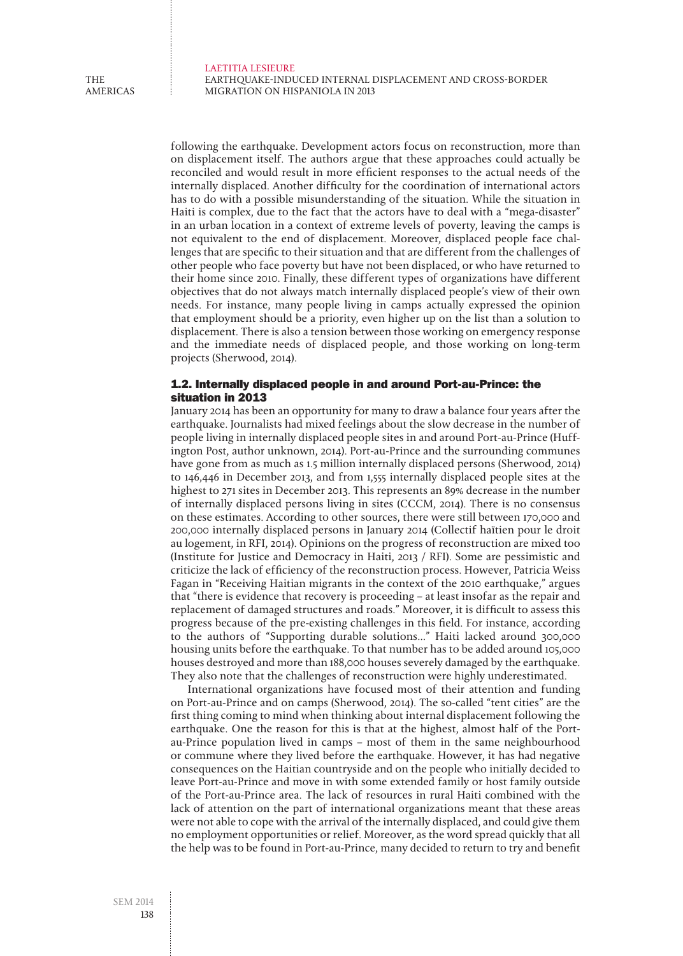Laetitia LESIEURE Earthquake-induced internal displacement and cross-border migration on Hispaniola in 2013

following the earthquake. Development actors focus on reconstruction, more than on displacement itself. The authors argue that these approaches could actually be reconciled and would result in more efficient responses to the actual needs of the internally displaced. Another difficulty for the coordination of international actors has to do with a possible misunderstanding of the situation. While the situation in Haiti is complex, due to the fact that the actors have to deal with a "mega-disaster" in an urban location in a context of extreme levels of poverty, leaving the camps is not equivalent to the end of displacement. Moreover, displaced people face challenges that are specific to their situation and that are different from the challenges of other people who face poverty but have not been displaced, or who have returned to their home since 2010. Finally, these different types of organizations have different objectives that do not always match internally displaced people's view of their own needs. For instance, many people living in camps actually expressed the opinion that employment should be a priority, even higher up on the list than a solution to displacement. There is also a tension between those working on emergency response and the immediate needs of displaced people, and those working on long-term projects (Sherwood, 2014).

## 1.2. Internally displaced people in and around Port-au-Prince: the situation in 2013

January 2014 has been an opportunity for many to draw a balance four years after the earthquake. Journalists had mixed feelings about the slow decrease in the number of people living in internally displaced people sites in and around Port-au-Prince (Huffington Post, author unknown, 2014). Port-au-Prince and the surrounding communes have gone from as much as 1.5 million internally displaced persons (Sherwood, 2014) to 146,446 in December 2013, and from 1,555 internally displaced people sites at the highest to 271 sites in December 2013. This represents an 89% decrease in the number of internally displaced persons living in sites (CCCM, 2014). There is no consensus on these estimates. According to other sources, there were still between 170,000 and 200,000 internally displaced persons in January 2014 (Collectif haïtien pour le droit au logement, in RFI, 2014). Opinions on the progress of reconstruction are mixed too (Institute for Justice and Democracy in Haiti, 2013 / RFI). Some are pessimistic and criticize the lack of efficiency of the reconstruction process. However, Patricia Weiss Fagan in "Receiving Haitian migrants in the context of the 2010 earthquake," argues that "there is evidence that recovery is proceeding – at least insofar as the repair and replacement of damaged structures and roads." Moreover, it is difficult to assess this progress because of the pre-existing challenges in this field. For instance, according to the authors of "Supporting durable solutions…" Haiti lacked around 300,000 housing units before the earthquake. To that number has to be added around 105,000 houses destroyed and more than 188,000 houses severely damaged by the earthquake. They also note that the challenges of reconstruction were highly underestimated.

International organizations have focused most of their attention and funding on Port-au-Prince and on camps (Sherwood, 2014). The so-called "tent cities" are the first thing coming to mind when thinking about internal displacement following the earthquake. One the reason for this is that at the highest, almost half of the Portau-Prince population lived in camps – most of them in the same neighbourhood or commune where they lived before the earthquake. However, it has had negative consequences on the Haitian countryside and on the people who initially decided to leave Port-au-Prince and move in with some extended family or host family outside of the Port-au-Prince area. The lack of resources in rural Haiti combined with the lack of attention on the part of international organizations meant that these areas were not able to cope with the arrival of the internally displaced, and could give them no employment opportunities or relief. Moreover, as the word spread quickly that all the help was to be found in Port-au-Prince, many decided to return to try and benefit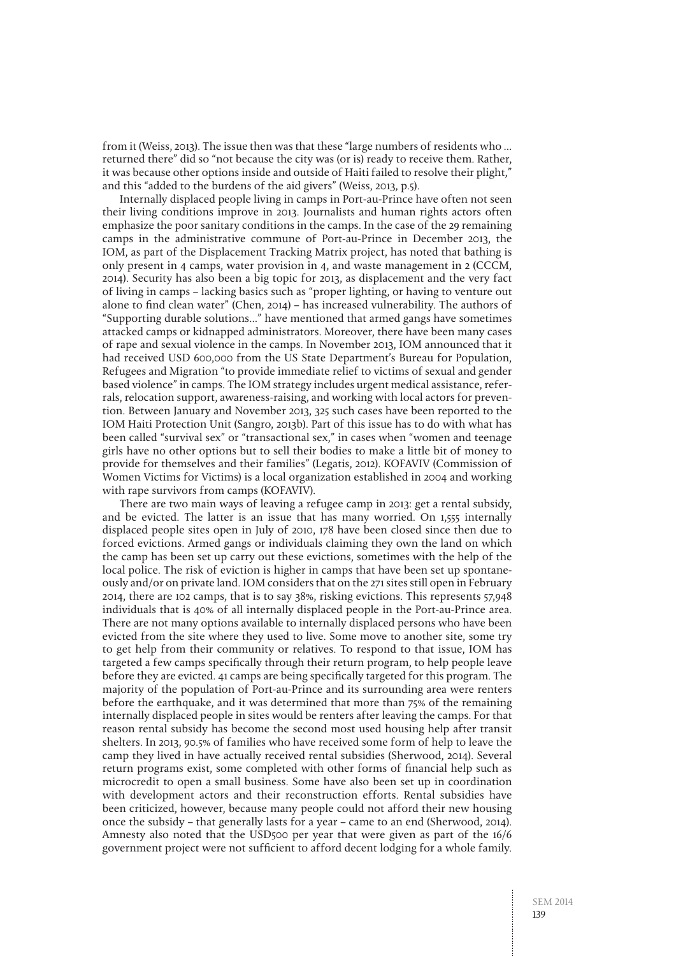from it (Weiss, 2013). The issue then was that these "large numbers of residents who … returned there" did so "not because the city was (or is) ready to receive them. Rather, it was because other options inside and outside of Haiti failed to resolve their plight," and this "added to the burdens of the aid givers" (Weiss, 2013, p.5).

Internally displaced people living in camps in Port-au-Prince have often not seen their living conditions improve in 2013. Journalists and human rights actors often emphasize the poor sanitary conditions in the camps. In the case of the 29 remaining camps in the administrative commune of Port-au-Prince in December 2013, the IOM, as part of the Displacement Tracking Matrix project, has noted that bathing is only present in 4 camps, water provision in 4, and waste management in 2 (CCCM, 2014). Security has also been a big topic for 2013, as displacement and the very fact of living in camps – lacking basics such as "proper lighting, or having to venture out alone to find clean water" (Chen, 2014) – has increased vulnerability. The authors of "Supporting durable solutions…" have mentioned that armed gangs have sometimes attacked camps or kidnapped administrators. Moreover, there have been many cases of rape and sexual violence in the camps. In November 2013, IOM announced that it had received USD 600,000 from the US State Department's Bureau for Population, Refugees and Migration "to provide immediate relief to victims of sexual and gender based violence" in camps. The IOM strategy includes urgent medical assistance, referrals, relocation support, awareness-raising, and working with local actors for prevention. Between January and November 2013, 325 such cases have been reported to the IOM Haiti Protection Unit (Sangro, 2013b). Part of this issue has to do with what has been called "survival sex" or "transactional sex," in cases when "women and teenage girls have no other options but to sell their bodies to make a little bit of money to provide for themselves and their families" (Legatis, 2012). KOFAVIV (Commission of Women Victims for Victims) is a local organization established in 2004 and working with rape survivors from camps (KOFAVIV).

There are two main ways of leaving a refugee camp in 2013: get a rental subsidy, and be evicted. The latter is an issue that has many worried. On 1,555 internally displaced people sites open in July of 2010, 178 have been closed since then due to forced evictions. Armed gangs or individuals claiming they own the land on which the camp has been set up carry out these evictions, sometimes with the help of the local police. The risk of eviction is higher in camps that have been set up spontaneously and/or on private land. IOM considers that on the 271 sites still open in February 2014, there are 102 camps, that is to say 38%, risking evictions. This represents 57,948 individuals that is 40% of all internally displaced people in the Port-au-Prince area. There are not many options available to internally displaced persons who have been evicted from the site where they used to live. Some move to another site, some try to get help from their community or relatives. To respond to that issue, IOM has targeted a few camps specifically through their return program, to help people leave before they are evicted. 41 camps are being specifically targeted for this program. The majority of the population of Port-au-Prince and its surrounding area were renters before the earthquake, and it was determined that more than 75% of the remaining internally displaced people in sites would be renters after leaving the camps. For that reason rental subsidy has become the second most used housing help after transit shelters. In 2013, 90.5% of families who have received some form of help to leave the camp they lived in have actually received rental subsidies (Sherwood, 2014). Several return programs exist, some completed with other forms of financial help such as microcredit to open a small business. Some have also been set up in coordination with development actors and their reconstruction efforts. Rental subsidies have been criticized, however, because many people could not afford their new housing once the subsidy – that generally lasts for a year – came to an end (Sherwood, 2014). Amnesty also noted that the USD500 per year that were given as part of the 16/6 government project were not sufficient to afford decent lodging for a whole family.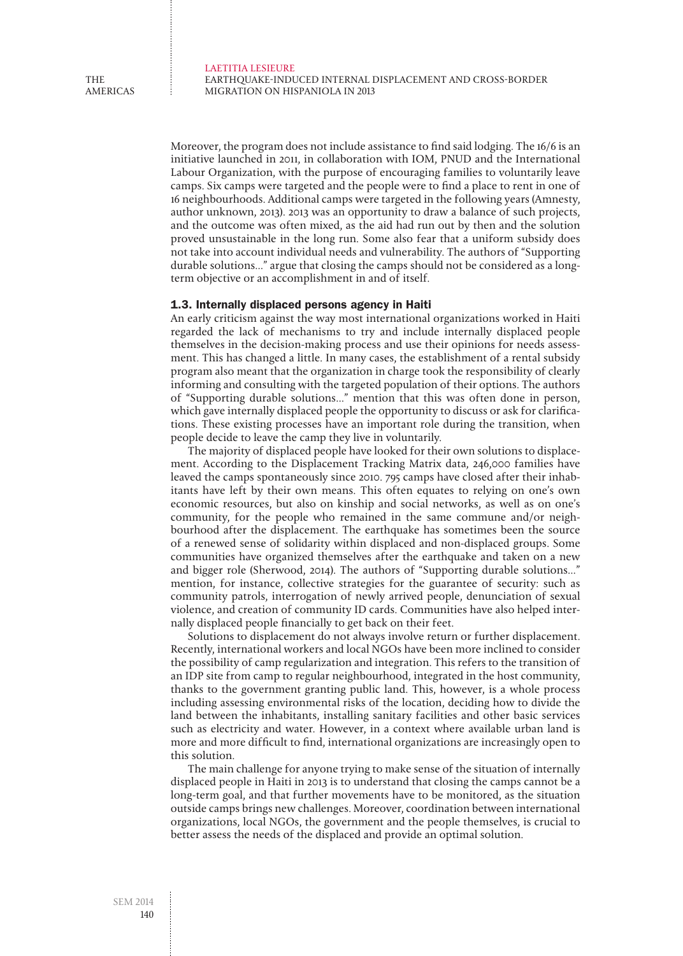Moreover, the program does not include assistance to find said lodging. The 16/6 is an initiative launched in 2011, in collaboration with IOM, PNUD and the International Labour Organization, with the purpose of encouraging families to voluntarily leave camps. Six camps were targeted and the people were to find a place to rent in one of 16 neighbourhoods. Additional camps were targeted in the following years (Amnesty, author unknown, 2013). 2013 was an opportunity to draw a balance of such projects, and the outcome was often mixed, as the aid had run out by then and the solution proved unsustainable in the long run. Some also fear that a uniform subsidy does not take into account individual needs and vulnerability. The authors of "Supporting durable solutions…" argue that closing the camps should not be considered as a longterm objective or an accomplishment in and of itself.

#### 1.3. Internally displaced persons agency in Haiti

An early criticism against the way most international organizations worked in Haiti regarded the lack of mechanisms to try and include internally displaced people themselves in the decision-making process and use their opinions for needs assessment. This has changed a little. In many cases, the establishment of a rental subsidy program also meant that the organization in charge took the responsibility of clearly informing and consulting with the targeted population of their options. The authors of "Supporting durable solutions…" mention that this was often done in person, which gave internally displaced people the opportunity to discuss or ask for clarifications. These existing processes have an important role during the transition, when people decide to leave the camp they live in voluntarily.

The majority of displaced people have looked for their own solutions to displacement. According to the Displacement Tracking Matrix data, 246,000 families have leaved the camps spontaneously since 2010. 795 camps have closed after their inhabitants have left by their own means. This often equates to relying on one's own economic resources, but also on kinship and social networks, as well as on one's community, for the people who remained in the same commune and/or neighbourhood after the displacement. The earthquake has sometimes been the source of a renewed sense of solidarity within displaced and non-displaced groups. Some communities have organized themselves after the earthquake and taken on a new and bigger role (Sherwood, 2014). The authors of "Supporting durable solutions…" mention, for instance, collective strategies for the guarantee of security: such as community patrols, interrogation of newly arrived people, denunciation of sexual violence, and creation of community ID cards. Communities have also helped internally displaced people financially to get back on their feet.

Solutions to displacement do not always involve return or further displacement. Recently, international workers and local NGOs have been more inclined to consider the possibility of camp regularization and integration. This refers to the transition of an IDP site from camp to regular neighbourhood, integrated in the host community, thanks to the government granting public land. This, however, is a whole process including assessing environmental risks of the location, deciding how to divide the land between the inhabitants, installing sanitary facilities and other basic services such as electricity and water. However, in a context where available urban land is more and more difficult to find, international organizations are increasingly open to this solution.

The main challenge for anyone trying to make sense of the situation of internally displaced people in Haiti in 2013 is to understand that closing the camps cannot be a long-term goal, and that further movements have to be monitored, as the situation outside camps brings new challenges. Moreover, coordination between international organizations, local NGOs, the government and the people themselves, is crucial to better assess the needs of the displaced and provide an optimal solution.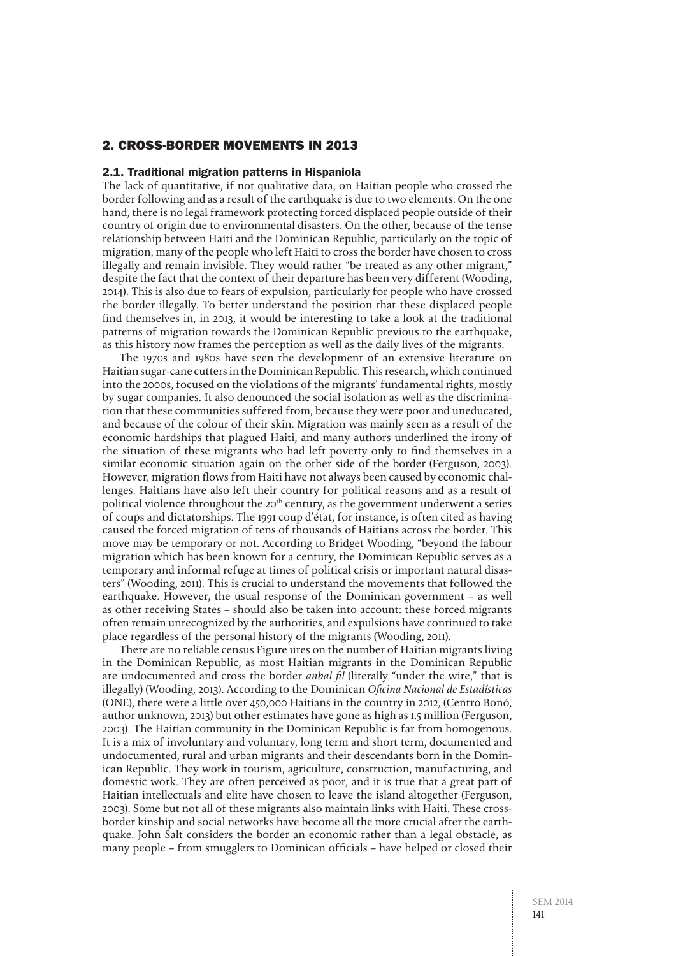# 2. Cross-border movements in 2013

#### 2.1. Traditional migration patterns in Hispaniola

The lack of quantitative, if not qualitative data, on Haitian people who crossed the border following and as a result of the earthquake is due to two elements. On the one hand, there is no legal framework protecting forced displaced people outside of their country of origin due to environmental disasters. On the other, because of the tense relationship between Haiti and the Dominican Republic, particularly on the topic of migration, many of the people who left Haiti to cross the border have chosen to cross illegally and remain invisible. They would rather "be treated as any other migrant," despite the fact that the context of their departure has been very different (Wooding, 2014). This is also due to fears of expulsion, particularly for people who have crossed the border illegally. To better understand the position that these displaced people find themselves in, in 2013, it would be interesting to take a look at the traditional patterns of migration towards the Dominican Republic previous to the earthquake, as this history now frames the perception as well as the daily lives of the migrants.

The 1970s and 1980s have seen the development of an extensive literature on Haitian sugar-cane cutters in the Dominican Republic. This research, which continued into the 2000s, focused on the violations of the migrants' fundamental rights, mostly by sugar companies. It also denounced the social isolation as well as the discrimination that these communities suffered from, because they were poor and uneducated, and because of the colour of their skin. Migration was mainly seen as a result of the economic hardships that plagued Haiti, and many authors underlined the irony of the situation of these migrants who had left poverty only to find themselves in a similar economic situation again on the other side of the border (Ferguson, 2003). However, migration flows from Haiti have not always been caused by economic challenges. Haitians have also left their country for political reasons and as a result of political violence throughout the  $20<sup>th</sup>$  century, as the government underwent a series of coups and dictatorships. The 1991 coup d'état, for instance, is often cited as having caused the forced migration of tens of thousands of Haitians across the border. This move may be temporary or not. According to Bridget Wooding, "beyond the labour migration which has been known for a century, the Dominican Republic serves as a temporary and informal refuge at times of political crisis or important natural disasters" (Wooding, 2011). This is crucial to understand the movements that followed the earthquake. However, the usual response of the Dominican government – as well as other receiving States – should also be taken into account: these forced migrants often remain unrecognized by the authorities, and expulsions have continued to take place regardless of the personal history of the migrants (Wooding, 2011).

There are no reliable census Figure ures on the number of Haitian migrants living in the Dominican Republic, as most Haitian migrants in the Dominican Republic are undocumented and cross the border *anbal fil* (literally "under the wire," that is illegally) (Wooding, 2013). According to the Dominican Oficina Nacional de Estadísticas (ONE), there were a little over 450,000 Haitians in the country in 2012, (Centro Bonó, author unknown, 2013) but other estimates have gone as high as 1.5 million (Ferguson, 2003). The Haitian community in the Dominican Republic is far from homogenous. It is a mix of involuntary and voluntary, long term and short term, documented and undocumented, rural and urban migrants and their descendants born in the Dominican Republic. They work in tourism, agriculture, construction, manufacturing, and domestic work. They are often perceived as poor, and it is true that a great part of Haitian intellectuals and elite have chosen to leave the island altogether (Ferguson, 2003). Some but not all of these migrants also maintain links with Haiti. These crossborder kinship and social networks have become all the more crucial after the earthquake. John Salt considers the border an economic rather than a legal obstacle, as many people – from smugglers to Dominican officials – have helped or closed their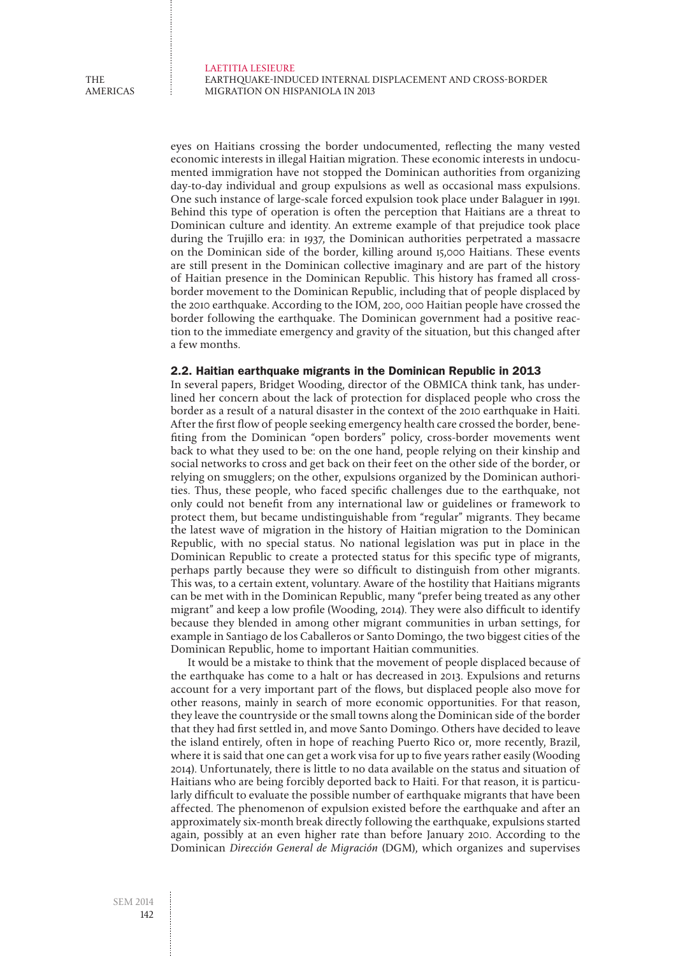Laetitia LESIEURE Earthquake-induced internal displacement and cross-border migration on Hispaniola in 2013

eyes on Haitians crossing the border undocumented, reflecting the many vested economic interests in illegal Haitian migration. These economic interests in undocumented immigration have not stopped the Dominican authorities from organizing day-to-day individual and group expulsions as well as occasional mass expulsions. One such instance of large-scale forced expulsion took place under Balaguer in 1991. Behind this type of operation is often the perception that Haitians are a threat to Dominican culture and identity. An extreme example of that prejudice took place during the Trujillo era: in 1937, the Dominican authorities perpetrated a massacre on the Dominican side of the border, killing around 15,000 Haitians. These events are still present in the Dominican collective imaginary and are part of the history of Haitian presence in the Dominican Republic. This history has framed all crossborder movement to the Dominican Republic, including that of people displaced by the 2010 earthquake. According to the IOM, 200, 000 Haitian people have crossed the border following the earthquake. The Dominican government had a positive reaction to the immediate emergency and gravity of the situation, but this changed after a few months.

#### 2.2. Haitian earthquake migrants in the Dominican Republic in 2013

In several papers, Bridget Wooding, director of the OBMICA think tank, has underlined her concern about the lack of protection for displaced people who cross the border as a result of a natural disaster in the context of the 2010 earthquake in Haiti. After the first flow of people seeking emergency health care crossed the border, benefiting from the Dominican "open borders" policy, cross-border movements went back to what they used to be: on the one hand, people relying on their kinship and social networks to cross and get back on their feet on the other side of the border, or relying on smugglers; on the other, expulsions organized by the Dominican authorities. Thus, these people, who faced specific challenges due to the earthquake, not only could not benefit from any international law or guidelines or framework to protect them, but became undistinguishable from "regular" migrants. They became the latest wave of migration in the history of Haitian migration to the Dominican Republic, with no special status. No national legislation was put in place in the Dominican Republic to create a protected status for this specific type of migrants, perhaps partly because they were so difficult to distinguish from other migrants. This was, to a certain extent, voluntary. Aware of the hostility that Haitians migrants can be met with in the Dominican Republic, many "prefer being treated as any other migrant" and keep a low profile (Wooding, 2014). They were also difficult to identify because they blended in among other migrant communities in urban settings, for example in Santiago de los Caballeros or Santo Domingo, the two biggest cities of the Dominican Republic, home to important Haitian communities.

It would be a mistake to think that the movement of people displaced because of the earthquake has come to a halt or has decreased in 2013. Expulsions and returns account for a very important part of the flows, but displaced people also move for other reasons, mainly in search of more economic opportunities. For that reason, they leave the countryside or the small towns along the Dominican side of the border that they had first settled in, and move Santo Domingo. Others have decided to leave the island entirely, often in hope of reaching Puerto Rico or, more recently, Brazil, where it is said that one can get a work visa for up to five years rather easily (Wooding 2014). Unfortunately, there is little to no data available on the status and situation of Haitians who are being forcibly deported back to Haiti. For that reason, it is particularly difficult to evaluate the possible number of earthquake migrants that have been affected. The phenomenon of expulsion existed before the earthquake and after an approximately six-month break directly following the earthquake, expulsions started again, possibly at an even higher rate than before January 2010. According to the Dominican Dirección General de Migración (DGM), which organizes and supervises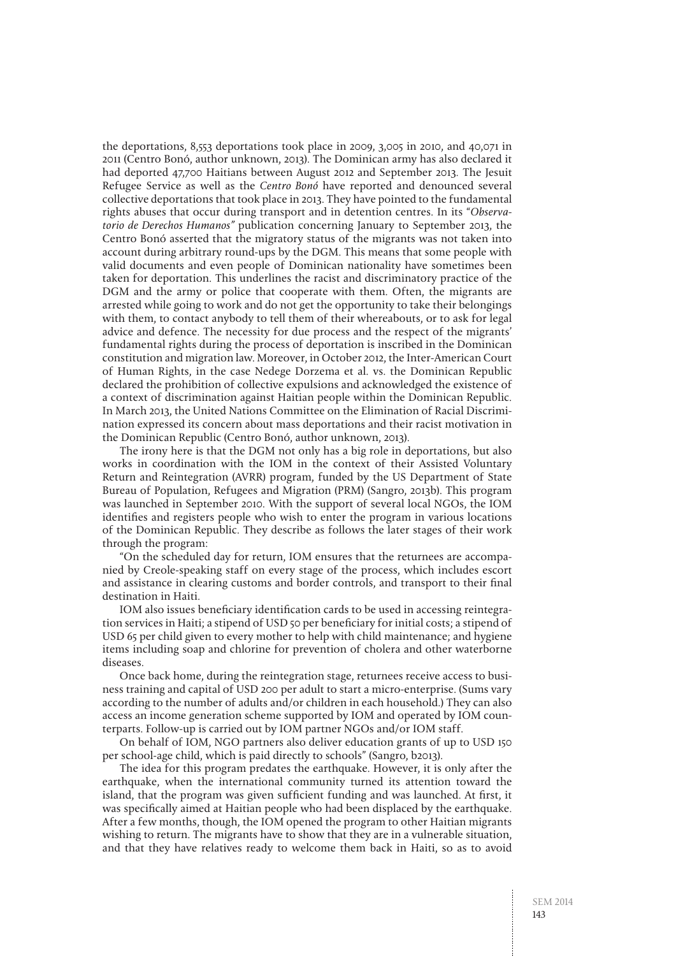the deportations, 8,553 deportations took place in 2009, 3,005 in 2010, and 40,071 in 2011 (Centro Bonó, author unknown, 2013). The Dominican army has also declared it had deported 47,700 Haitians between August 2012 and September 2013. The Jesuit Refugee Service as well as the Centro Bonó have reported and denounced several collective deportations that took place in 2013. They have pointed to the fundamental rights abuses that occur during transport and in detention centres. In its "Observatorio de Derechos Humanos" publication concerning January to September 2013, the Centro Bonó asserted that the migratory status of the migrants was not taken into account during arbitrary round-ups by the DGM. This means that some people with valid documents and even people of Dominican nationality have sometimes been taken for deportation. This underlines the racist and discriminatory practice of the DGM and the army or police that cooperate with them. Often, the migrants are arrested while going to work and do not get the opportunity to take their belongings with them, to contact anybody to tell them of their whereabouts, or to ask for legal advice and defence. The necessity for due process and the respect of the migrants' fundamental rights during the process of deportation is inscribed in the Dominican constitution and migration law. Moreover, in October 2012, the Inter-American Court of Human Rights, in the case Nedege Dorzema et al. vs. the Dominican Republic declared the prohibition of collective expulsions and acknowledged the existence of a context of discrimination against Haitian people within the Dominican Republic. In March 2013, the United Nations Committee on the Elimination of Racial Discrimination expressed its concern about mass deportations and their racist motivation in the Dominican Republic (Centro Bonó, author unknown, 2013).

The irony here is that the DGM not only has a big role in deportations, but also works in coordination with the IOM in the context of their Assisted Voluntary Return and Reintegration (AVRR) program, funded by the US Department of State Bureau of Population, Refugees and Migration (PRM) (Sangro, 2013b). This program was launched in September 2010. With the support of several local NGOs, the IOM identifies and registers people who wish to enter the program in various locations of the Dominican Republic. They describe as follows the later stages of their work through the program:

"On the scheduled day for return, IOM ensures that the returnees are accompanied by Creole-speaking staff on every stage of the process, which includes escort and assistance in clearing customs and border controls, and transport to their final destination in Haiti.

IOM also issues beneficiary identification cards to be used in accessing reintegration services in Haiti; a stipend of USD 50 per beneficiary for initial costs; a stipend of USD 65 per child given to every mother to help with child maintenance; and hygiene items including soap and chlorine for prevention of cholera and other waterborne diseases.

Once back home, during the reintegration stage, returnees receive access to business training and capital of USD 200 per adult to start a micro-enterprise. (Sums vary according to the number of adults and/or children in each household.) They can also access an income generation scheme supported by IOM and operated by IOM counterparts. Follow-up is carried out by IOM partner NGOs and/or IOM staff.

On behalf of IOM, NGO partners also deliver education grants of up to USD 150 per school-age child, which is paid directly to schools" (Sangro, b2013).

The idea for this program predates the earthquake. However, it is only after the earthquake, when the international community turned its attention toward the island, that the program was given sufficient funding and was launched. At first, it was specifically aimed at Haitian people who had been displaced by the earthquake. After a few months, though, the IOM opened the program to other Haitian migrants wishing to return. The migrants have to show that they are in a vulnerable situation, and that they have relatives ready to welcome them back in Haiti, so as to avoid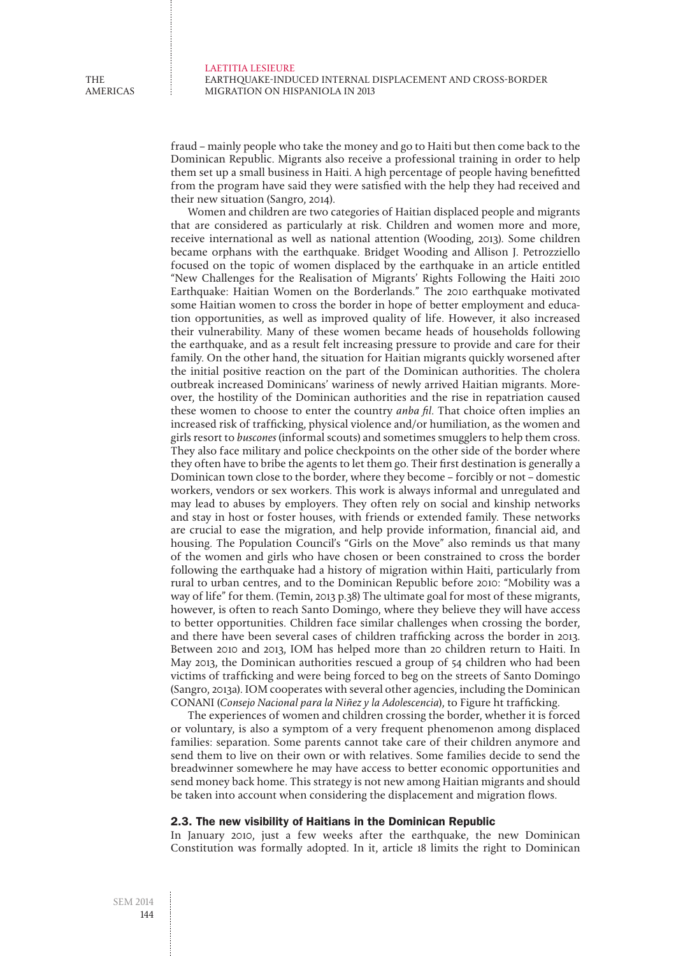Laetitia LESIEURE Earthquake-induced internal displacement and cross-border migration on Hispaniola in 2013

fraud – mainly people who take the money and go to Haiti but then come back to the Dominican Republic. Migrants also receive a professional training in order to help them set up a small business in Haiti. A high percentage of people having benefitted from the program have said they were satisfied with the help they had received and their new situation (Sangro, 2014).

Women and children are two categories of Haitian displaced people and migrants that are considered as particularly at risk. Children and women more and more, receive international as well as national attention (Wooding, 2013). Some children became orphans with the earthquake. Bridget Wooding and Allison J. Petrozziello focused on the topic of women displaced by the earthquake in an article entitled "New Challenges for the Realisation of Migrants' Rights Following the Haiti 2010 Earthquake: Haitian Women on the Borderlands." The 2010 earthquake motivated some Haitian women to cross the border in hope of better employment and education opportunities, as well as improved quality of life. However, it also increased their vulnerability. Many of these women became heads of households following the earthquake, and as a result felt increasing pressure to provide and care for their family. On the other hand, the situation for Haitian migrants quickly worsened after the initial positive reaction on the part of the Dominican authorities. The cholera outbreak increased Dominicans' wariness of newly arrived Haitian migrants. Moreover, the hostility of the Dominican authorities and the rise in repatriation caused these women to choose to enter the country *anba fil*. That choice often implies an increased risk of trafficking, physical violence and/or humiliation, as the women and girls resort to buscones (informal scouts) and sometimes smugglers to help them cross. They also face military and police checkpoints on the other side of the border where they often have to bribe the agents to let them go. Their first destination is generally a Dominican town close to the border, where they become – forcibly or not – domestic workers, vendors or sex workers. This work is always informal and unregulated and may lead to abuses by employers. They often rely on social and kinship networks and stay in host or foster houses, with friends or extended family. These networks are crucial to ease the migration, and help provide information, financial aid, and housing. The Population Council's "Girls on the Move" also reminds us that many of the women and girls who have chosen or been constrained to cross the border following the earthquake had a history of migration within Haiti, particularly from rural to urban centres, and to the Dominican Republic before 2010: "Mobility was a way of life" for them. (Temin, 2013 p.38) The ultimate goal for most of these migrants, however, is often to reach Santo Domingo, where they believe they will have access to better opportunities. Children face similar challenges when crossing the border, and there have been several cases of children trafficking across the border in 2013. Between 2010 and 2013, IOM has helped more than 20 children return to Haiti. In May 2013, the Dominican authorities rescued a group of 54 children who had been victims of trafficking and were being forced to beg on the streets of Santo Domingo (Sangro, 2013a). IOM cooperates with several other agencies, including the Dominican CONANI (Consejo Nacional para la Niñez y la Adolescencia), to Figure ht trafficking.

The experiences of women and children crossing the border, whether it is forced or voluntary, is also a symptom of a very frequent phenomenon among displaced families: separation. Some parents cannot take care of their children anymore and send them to live on their own or with relatives. Some families decide to send the breadwinner somewhere he may have access to better economic opportunities and send money back home. This strategy is not new among Haitian migrants and should be taken into account when considering the displacement and migration flows.

### 2.3. The new visibility of Haitians in the Dominican Republic

In January 2010, just a few weeks after the earthquake, the new Dominican Constitution was formally adopted. In it, article 18 limits the right to Dominican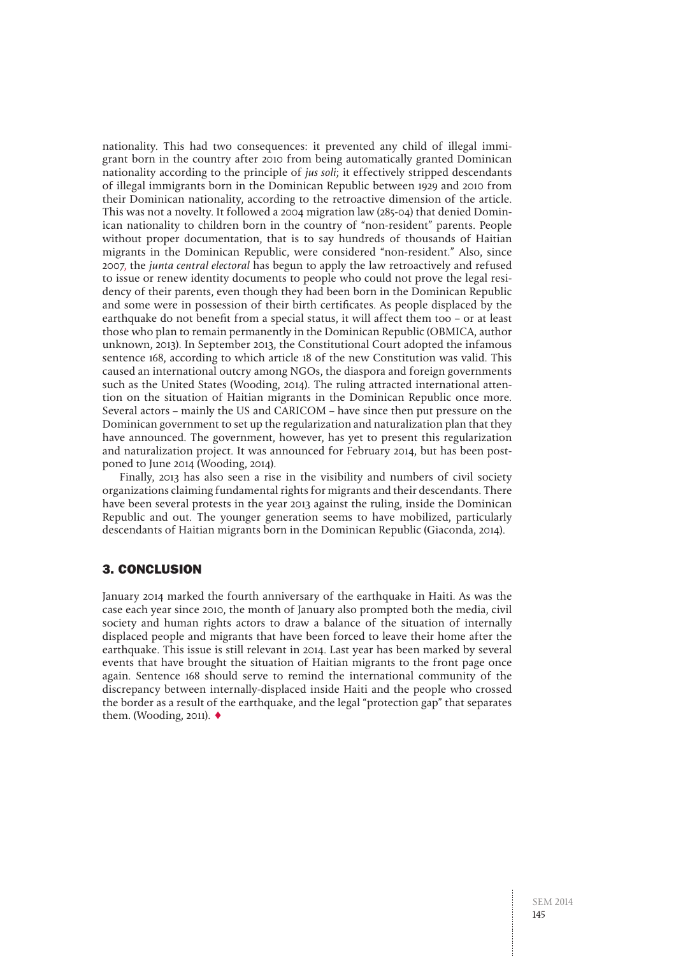nationality. This had two consequences: it prevented any child of illegal immigrant born in the country after 2010 from being automatically granted Dominican nationality according to the principle of jus soli; it effectively stripped descendants of illegal immigrants born in the Dominican Republic between 1929 and 2010 from their Dominican nationality, according to the retroactive dimension of the article. This was not a novelty. It followed a 2004 migration law (285-04) that denied Dominican nationality to children born in the country of "non-resident" parents. People without proper documentation, that is to say hundreds of thousands of Haitian migrants in the Dominican Republic, were considered "non-resident." Also, since 2007, the junta central electoral has begun to apply the law retroactively and refused to issue or renew identity documents to people who could not prove the legal residency of their parents, even though they had been born in the Dominican Republic and some were in possession of their birth certificates. As people displaced by the earthquake do not benefit from a special status, it will affect them too – or at least those who plan to remain permanently in the Dominican Republic (OBMICA, author unknown, 2013). In September 2013, the Constitutional Court adopted the infamous sentence 168, according to which article 18 of the new Constitution was valid. This caused an international outcry among NGOs, the diaspora and foreign governments such as the United States (Wooding, 2014). The ruling attracted international attention on the situation of Haitian migrants in the Dominican Republic once more. Several actors – mainly the US and CARICOM – have since then put pressure on the Dominican government to set up the regularization and naturalization plan that they have announced. The government, however, has yet to present this regularization and naturalization project. It was announced for February 2014, but has been postponed to June 2014 (Wooding, 2014).

Finally, 2013 has also seen a rise in the visibility and numbers of civil society organizations claiming fundamental rights for migrants and their descendants. There have been several protests in the year 2013 against the ruling, inside the Dominican Republic and out. The younger generation seems to have mobilized, particularly descendants of Haitian migrants born in the Dominican Republic (Giaconda, 2014).

## 3. Conclusion

January 2014 marked the fourth anniversary of the earthquake in Haiti. As was the case each year since 2010, the month of January also prompted both the media, civil society and human rights actors to draw a balance of the situation of internally displaced people and migrants that have been forced to leave their home after the earthquake. This issue is still relevant in 2014. Last year has been marked by several events that have brought the situation of Haitian migrants to the front page once again. Sentence 168 should serve to remind the international community of the discrepancy between internally-displaced inside Haiti and the people who crossed the border as a result of the earthquake, and the legal "protection gap" that separates them. (Wooding, 2011).  $\triangleleft$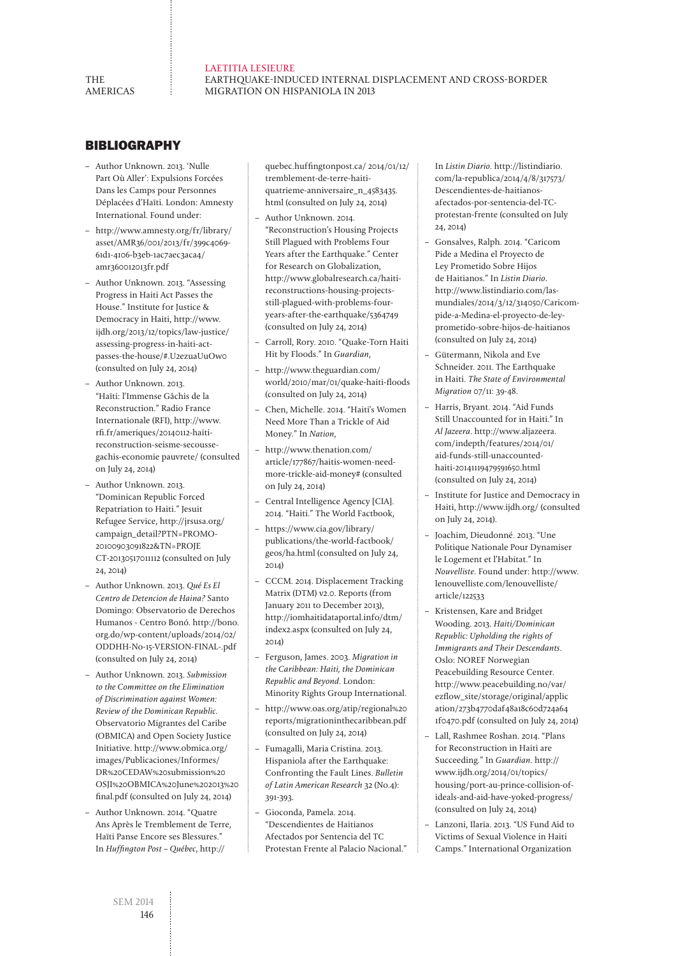**THE AMERICAS** 

#### Laetitia LESIEURE Earthquake-induced internal displacement and cross-border migration on Hispaniola in 2013

# **BIBLIOGRAPHY**

- Author Unknown. 2013. 'Nulle Part Où Aller': Expulsions Forcées Dans les Camps pour Personnes Déplacées d'Haïti. London: Amnesty International. Found under:
- http://www.amnesty.org/fr/library/ asset/AMR36/001/2013/fr/399c4069- 61d1-4106-b3eb-1ac7aec3aca4/ amr360012013fr.pdf
- Author Unknown. 2013. "Assessing Progress in Haiti Act Passes the House." Institute for Justice & Democracy in Haiti, http://www. ijdh.org/2013/12/topics/law-justice/ assessing-progress-in-haiti-actpasses-the-house/#.U2ezuaUuOw0 (consulted on July 24, 2014)
- Author Unknown. 2013. "Haïti: l'Immense Gâchis de la Reconstruction." Radio France Internationale (RFI), http://www. rfi.fr/ameriques/20140112-haitireconstruction-seisme-secoussegachis-economie pauvrete/ (consulted on July 24, 2014)
- Author Unknown. 2013. "Dominican Republic Forced Repatriation to Haiti." Jesuit Refugee Service, http://jrsusa.org/ campaign\_detail?PTN=PROMO-20100903091822&TN=PROJE CT-20130517011112 (consulted on July 24, 2014)
- Author Unknown. 2013. Qué Es El Centro de Detencion de Haina? Santo Domingo: Observatorio de Derechos Humanos - Centro Bonó. http://bono. org.do/wp-content/uploads/2014/02/ ODDHH-No-15-VERSION-FINAL-.pdf (consulted on July 24, 2014)
- Author Unknown. 2013. Submission to the Committee on the Elimination of Discrimination against Women: Review of the Dominican Republic. Observatorio Migrantes del Caribe (OBMICA) and Open Society Justice Initiative. http://www.obmica.org/ images/Publicaciones/Informes/ DR%20CEDAW%20submission%20 OSJI%20OBMICA%20June%202013%20 final.pdf (consulted on July 24, 2014)
- Author Unknown. 2014. "Quatre Ans Après le Tremblement de Terre, Haïti Panse Encore ses Blessures." In Huffington Post – Québec, http://

quebec.huffingtonpost.ca/ 2014/01/12/ tremblement-de-terre-haitiquatrieme-anniversaire\_n\_4583435. html (consulted on July 24, 2014)

- Author Unknown. 2014. "Reconstruction's Housing Projects Still Plagued with Problems Four Years after the Earthquake." Center for Research on Globalization, http://www.globalresearch.ca/haitireconstructions-housing-projectsstill-plagued-with-problems-fouryears-after-the-earthquake/5364749 (consulted on July 24, 2014)
- Carroll, Rory. 2010. "Quake-Torn Haiti Hit by Floods." In Guardian,
- http://www.theguardian.com/ world/2010/mar/01/quake-haiti-floods (consulted on July 24, 2014)
- Chen, Michelle. 2014. "Haiti's Women Need More Than a Trickle of Aid Money." In Nation,
- http://www.thenation.com/ article/177867/haitis-women-needmore-trickle-aid-money# (consulted on July 24, 2014)
- Central Intelligence Agency [CIA]. 2014. "Haiti." The World Factbook,
- https://www.cia.gov/library/ publications/the-world-factbook/ geos/ha.html (consulted on July 24, 2014)
- CCCM. 2014. Displacement Tracking Matrix (DTM) v2.0. Reports (from January 2011 to December 2013), http://iomhaitidataportal.info/dtm/ index2.aspx (consulted on July 24, 2014)
- Ferguson, James. 2003. Migration in the Caribbean: Haiti, the Dominican Republic and Beyond. London: Minority Rights Group International.
- http://www.oas.org/atip/regional%20 reports/migrationinthecaribbean.pdf (consulted on July 24, 2014)
- Fumagalli, Maria Cristina. 2013. Hispaniola after the Earthquake: Confronting the Fault Lines. Bulletin of Latin American Research 32 (No.4): 391-393.
- Gioconda, Pamela. 2014. "Descendientes de Haitianos Afectados por Sentencia del TC Protestan Frente al Palacio Nacional."

In Listin Diario. http://listindiario. com/la-republica/2014/4/8/317573/ Descendientes-de-haitianosafectados-por-sentencia-del-TCprotestan-frente (consulted on July 24, 2014)

- Gonsalves, Ralph. 2014. "Caricom Pide a Medina el Proyecto de Ley Prometido Sobre Hijos de Haitianos." In Listin Diario. http://www.listindiario.com/lasmundiales/2014/3/12/314050/Caricompide-a-Medina-el-proyecto-de-leyprometido-sobre-hijos-de-haitianos (consulted on July 24, 2014)
- Gütermann, Nikola and Eve Schneider. 2011. The Earthquake in Haiti. The State of Environmental Migration 07/11: 39-48.
- Harris, Bryant. 2014. "Aid Funds Still Unaccounted for in Haiti." In Al Jazeera. http://www.aljazeera. com/indepth/features/2014/01/ aid-funds-still-unaccountedhaiti-20141119479591650.html (consulted on July 24, 2014)
- Institute for Justice and Democracy in Haiti, http://www.ijdh.org/ (consulted on July 24, 2014).
- Joachim, Dieudonné. 2013. "Une Politique Nationale Pour Dynamiser le Logement et l'Habitat." In Nouvelliste. Found under: http://www. lenouvelliste.com/lenouvelliste/ article/122533
- Kristensen, Kare and Bridget Wooding. 2013. Haiti/Dominican Republic: Upholding the rights of Immigrants and Their Descendants. Oslo: NOREF Norwegian Peacebuilding Resource Center. http://www.peacebuilding.no/var/ ezflow\_site/storage/original/applic ation/273b4770daf48a18c60d724a64 1f0470.pdf (consulted on July 24, 2014)
- Lall, Rashmee Roshan. 2014. "Plans for Reconstruction in Haiti are Succeeding." In Guardian. http:// www.ijdh.org/2014/01/topics/ housing/port-au-prince-collision-ofideals-and-aid-have-yoked-progress/ (consulted on July 24, 2014)
- Lanzoni, Ilaria. 2013. "US Fund Aid to Victims of Sexual Violence in Haiti Camps." International Organization